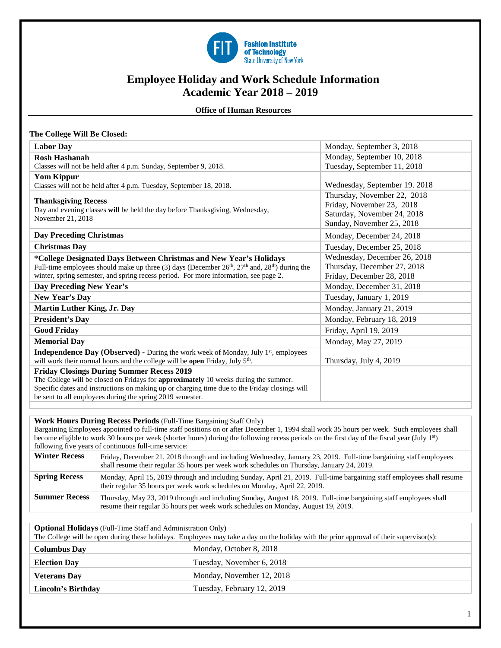

# **Employee Holiday and Work Schedule Information Academic Year 2018 – 2019**

 **Office of Human Resources** 

|  | The College Will Be Closed: |  |  |  |
|--|-----------------------------|--|--|--|
|--|-----------------------------|--|--|--|

| <b>Labor Day</b>                                                                                           | Monday, September 3, 2018     |
|------------------------------------------------------------------------------------------------------------|-------------------------------|
| <b>Rosh Hashanah</b>                                                                                       | Monday, September 10, 2018    |
| Classes will not be held after 4 p.m. Sunday, September 9, 2018.                                           | Tuesday, September 11, 2018   |
| <b>Yom Kippur</b>                                                                                          |                               |
| Classes will not be held after 4 p.m. Tuesday, September 18, 2018.                                         | Wednesday, September 19. 2018 |
|                                                                                                            | Thursday, November 22, 2018   |
| <b>Thanksgiving Recess</b><br>Day and evening classes will be held the day before Thanksgiving, Wednesday, | Friday, November 23, 2018     |
| November 21, 2018                                                                                          | Saturday, November 24, 2018   |
|                                                                                                            | Sunday, November 25, 2018     |
| <b>Day Preceding Christmas</b>                                                                             | Monday, December 24, 2018     |
| <b>Christmas Day</b>                                                                                       | Tuesday, December 25, 2018    |
| *College Designated Days Between Christmas and New Year's Holidays                                         | Wednesday, December 26, 2018  |
| Full-time employees should make up three (3) days (December $26th$ , $27th$ and, $28th$ ) during the       | Thursday, December 27, 2018   |
| winter, spring semester, and spring recess period. For more information, see page 2.                       | Friday, December 28, 2018     |
| Day Preceding New Year's                                                                                   | Monday, December 31, 2018     |
| New Year's Day                                                                                             | Tuesday, January 1, 2019      |
| <b>Martin Luther King, Jr. Day</b>                                                                         | Monday, January 21, 2019      |
| <b>President's Day</b>                                                                                     | Monday, February 18, 2019     |
| <b>Good Friday</b>                                                                                         | Friday, April 19, 2019        |
| <b>Memorial Day</b>                                                                                        | Monday, May 27, 2019          |
| <b>Independence Day (Observed) -</b> During the work week of Monday, July 1 <sup>st</sup> , employees      |                               |
| will work their normal hours and the college will be open Friday, July 5 <sup>th</sup> .                   | Thursday, July 4, 2019        |
| <b>Friday Closings During Summer Recess 2019</b>                                                           |                               |
| The College will be closed on Fridays for approximately 10 weeks during the summer.                        |                               |
| Specific dates and instructions on making up or charging time due to the Friday closings will              |                               |
| be sent to all employees during the spring 2019 semester.                                                  |                               |
|                                                                                                            |                               |

#### **Work Hours During Recess Periods** (Full-Time Bargaining Staff Only)

Bargaining Employees appointed to full-time staff positions on or after December 1, 1994 shall work 35 hours per week. Such employees shall become eligible to work 30 hours per week (shorter hours) during the following recess periods on the first day of the fiscal year (July 1<sup>st</sup>) following five years of continuous full-time service:

| <b>Winter Recess</b> | Friday, December 21, 2018 through and including Wednesday, January 23, 2019. Full-time bargaining staff employees<br>shall resume their regular 35 hours per week work schedules on Thursday, January 24, 2019. |
|----------------------|-----------------------------------------------------------------------------------------------------------------------------------------------------------------------------------------------------------------|
| <b>Spring Recess</b> | Monday, April 15, 2019 through and including Sunday, April 21, 2019. Full-time bargaining staff employees shall resume<br>their regular 35 hours per week work schedules on Monday, April 22, 2019.             |
| <b>Summer Recess</b> | Thursday, May 23, 2019 through and including Sunday, August 18, 2019. Full-time bargaining staff employees shall<br>resume their regular 35 hours per week work schedules on Monday, August 19, 2019.           |

**Optional Holidays** (Full-Time Staff and Administration Only)

| The College will be open during these holidays. Employees may take a day on the holiday with the prior approval of their supervisor(s): |                            |  |  |  |
|-----------------------------------------------------------------------------------------------------------------------------------------|----------------------------|--|--|--|
| <b>Columbus Day</b>                                                                                                                     | Monday, October 8, 2018    |  |  |  |
| <b>Election Day</b>                                                                                                                     | Tuesday, November 6, 2018  |  |  |  |
| <b>Veterans Day</b>                                                                                                                     | Monday, November 12, 2018  |  |  |  |
| Lincoln's Birthday                                                                                                                      | Tuesday, February 12, 2019 |  |  |  |